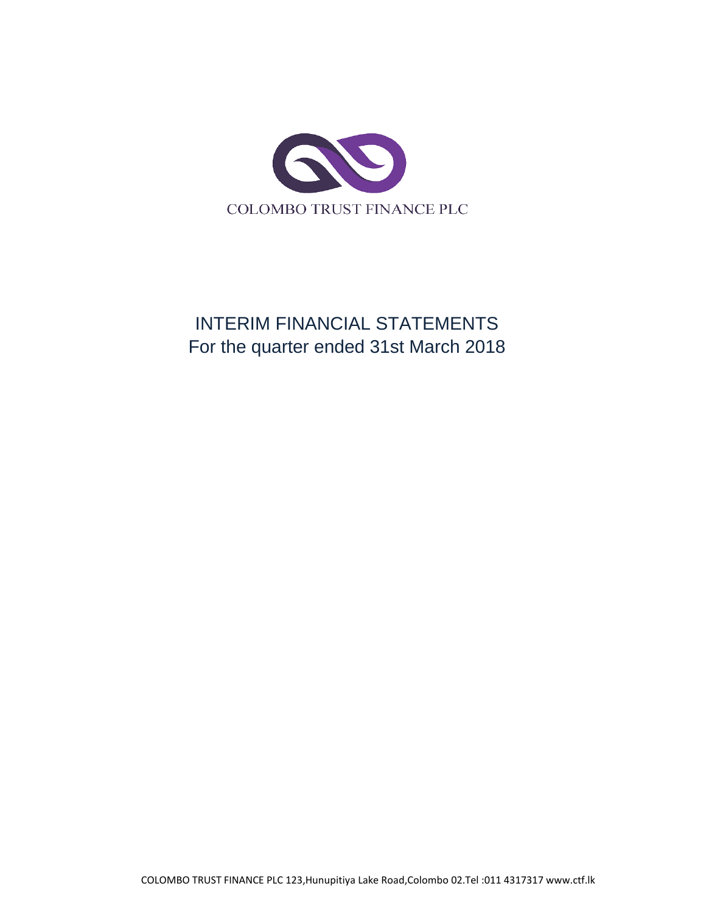

# INTERIM FINANCIAL STATEMENTS For the quarter ended 31st March 2018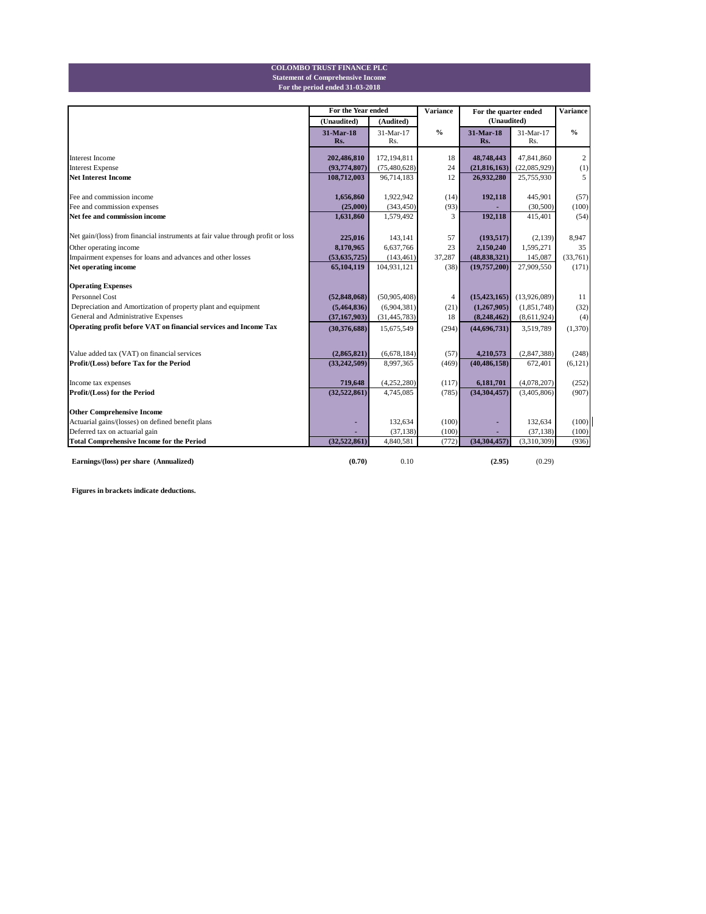#### **For the period ended 31-03-2018 Statement of Comprehensive Income COLOMBO TRUST FINANCE PLC**

|                                                                                 | For the Year ended |                | <b>Variance</b> | For the quarter ended | <b>Variance</b> |               |
|---------------------------------------------------------------------------------|--------------------|----------------|-----------------|-----------------------|-----------------|---------------|
|                                                                                 | (Unaudited)        | (Audited)      |                 | (Unaudited)           |                 |               |
|                                                                                 | 31-Mar-18          | 31-Mar-17      | $\frac{0}{0}$   | 31-Mar-18             | 31-Mar-17       | $\frac{0}{0}$ |
|                                                                                 | Rs.                | Rs.            |                 | Rs.                   | Rs.             |               |
| <b>Interest Income</b>                                                          | 202,486,810        | 172,194,811    | 18              | 48,748,443            | 47,841,860      | 2             |
| <b>Interest Expense</b>                                                         | (93,774,807)       | (75, 480, 628) | 24              | (21, 816, 163)        | (22,085,929)    | (1)           |
| <b>Net Interest Income</b>                                                      | 108,712,003        | 96,714,183     | 12              | 26,932,280            | 25,755,930      | 5             |
| Fee and commission income                                                       | 1,656,860          | 1,922,942      | (14)            | 192,118               | 445,901         | (57)          |
| Fee and commission expenses                                                     | (25,000)           | (343, 450)     | (93)            |                       | (30, 500)       | (100)         |
| Net fee and commission income                                                   | 1,631,860          | 1,579,492      | 3               | 192,118               | 415,401         | (54)          |
| Net gain/(loss) from financial instruments at fair value through profit or loss | 225,016            | 143,141        | 57              | (193, 517)            | (2,139)         | 8,947         |
| Other operating income                                                          | 8,170,965          | 6,637,766      | 23              | 2,150,240             | 1,595,271       | 35            |
| Impairment expenses for loans and advances and other losses                     | (53,635,725)       | (143, 461)     | 37,287          | (48, 838, 321)        | 145,087         | (33,761)      |
| Net operating income                                                            | 65,104,119         | 104,931,121    | (38)            | (19,757,200)          | 27,909,550      | (171)         |
| <b>Operating Expenses</b>                                                       |                    |                |                 |                       |                 |               |
| <b>Personnel Cost</b>                                                           | (52, 848, 068)     | (50,905,408)   | 4               | (15, 423, 165)        | (13,926,089)    | 11            |
| Depreciation and Amortization of property plant and equipment                   | (5,464,836)        | (6,904,381)    | (21)            | (1,267,905)           | (1,851,748)     | (32)          |
| General and Administrative Expenses                                             | (37, 167, 903)     | (31, 445, 783) | 18              | (8,248,462)           | (8,611,924)     | (4)           |
| Operating profit before VAT on financial services and Income Tax                | (30,376,688)       | 15,675,549     | (294)           | (44,696,731)          | 3,519,789       | (1,370)       |
|                                                                                 |                    |                |                 |                       |                 |               |
| Value added tax (VAT) on financial services                                     | (2,865,821)        | (6,678,184)    | (57)            | 4,210,573             | (2,847,388)     | (248)         |
| Profit/(Loss) before Tax for the Period                                         | (33, 242, 509)     | 8,997,365      | (469)           | (40, 486, 158)        | 672,401         | (6,121)       |
| Income tax expenses                                                             | 719,648            | (4,252,280)    | (117)           | 6,181,701             | (4,078,207)     | (252)         |
| Profit/(Loss) for the Period                                                    | (32,522,861)       | 4,745,085      | (785)           | (34, 304, 457)        | (3,405,806)     | (907)         |
|                                                                                 |                    |                |                 |                       |                 |               |
| <b>Other Comprehensive Income</b>                                               |                    |                |                 |                       |                 |               |
| Actuarial gains/(losses) on defined benefit plans                               |                    | 132,634        | (100)           |                       | 132,634         | (100)         |
| Deferred tax on actuarial gain                                                  |                    | (37, 138)      | (100)           |                       | (37, 138)       | (100)         |
| <b>Total Comprehensive Income for the Period</b>                                | (32.522.861)       | 4,840,581      | (772)           | (34, 304, 457)        | (3,310,309)     | (936)         |
| Earnings/(loss) per share (Annualized)                                          | (0.70)             | 0.10           |                 | (2.95)                | (0.29)          |               |

**Figures in brackets indicate deductions.**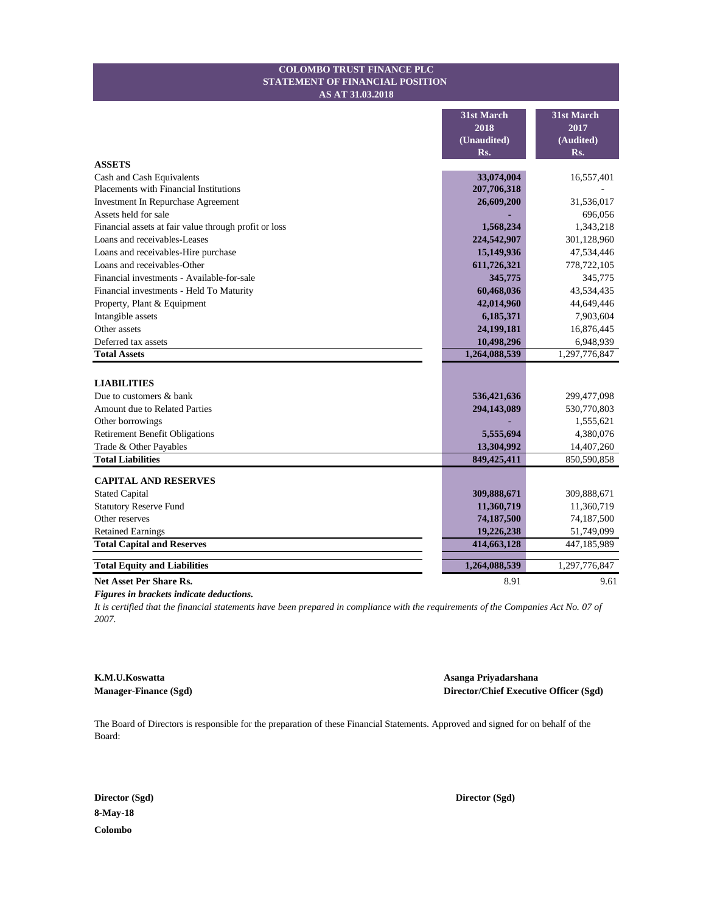#### **STATEMENT OF FINANCIAL POSITION COLOMBO TRUST FINANCE PLC AS AT 31.03.2018**

|                                                       | 31st March<br>2018 | 31st March<br>2017 |
|-------------------------------------------------------|--------------------|--------------------|
|                                                       | (Unaudited)        | (Audited)          |
|                                                       | Rs.                | Rs.                |
| <b>ASSETS</b>                                         |                    |                    |
| Cash and Cash Equivalents                             | 33,074,004         | 16,557,401         |
| Placements with Financial Institutions                | 207,706,318        |                    |
| Investment In Repurchase Agreement                    | 26,609,200         | 31,536,017         |
| Assets held for sale                                  |                    | 696,056            |
| Financial assets at fair value through profit or loss | 1,568,234          | 1,343,218          |
| Loans and receivables-Leases                          | 224,542,907        | 301,128,960        |
| Loans and receivables-Hire purchase                   | 15,149,936         | 47,534,446         |
| Loans and receivables-Other                           | 611,726,321        | 778,722,105        |
| Financial investments - Available-for-sale            | 345,775            | 345,775            |
| Financial investments - Held To Maturity              | 60,468,036         | 43,534,435         |
| Property, Plant & Equipment                           | 42,014,960         | 44,649,446         |
| Intangible assets                                     | 6,185,371          | 7,903,604          |
| Other assets                                          | 24,199,181         | 16,876,445         |
| Deferred tax assets                                   | 10,498,296         | 6,948,939          |
| <b>Total Assets</b>                                   | 1,264,088,539      | 1,297,776,847      |
|                                                       |                    |                    |
| <b>LIABILITIES</b>                                    |                    |                    |
| Due to customers & bank                               | 536,421,636        | 299,477,098        |
| Amount due to Related Parties                         | 294,143,089        | 530,770,803        |
| Other borrowings                                      |                    | 1,555,621          |
| <b>Retirement Benefit Obligations</b>                 | 5,555,694          | 4,380,076          |
| Trade & Other Payables                                | 13,304,992         | 14,407,260         |
| <b>Total Liabilities</b>                              | 849,425,411        | 850,590,858        |
| <b>CAPITAL AND RESERVES</b>                           |                    |                    |
| <b>Stated Capital</b>                                 | 309,888,671        | 309,888,671        |
| <b>Statutory Reserve Fund</b>                         | 11,360,719         | 11,360,719         |
| Other reserves                                        | 74,187,500         | 74,187,500         |
| <b>Retained Earnings</b>                              | 19,226,238         | 51,749,099         |
| <b>Total Capital and Reserves</b>                     | 414,663,128        | 447,185,989        |
|                                                       |                    |                    |
| <b>Total Equity and Liabilities</b>                   | 1,264,088,539      | 1,297,776,847      |
| <b>Net Asset Per Share Rs.</b>                        | 8.91               | 9.61               |

*Figures in brackets indicate deductions.*

*It is certified that the financial statements have been prepared in compliance with the requirements of the Companies Act No. 07 of 2007.*

**K.M.U.Koswatta Asanga Priyadarshana** 

**Manager-Finance (Sgd) Director/Chief Executive Officer (Sgd)**

The Board of Directors is responsible for the preparation of these Financial Statements. Approved and signed for on behalf of the Board:

**Director (Sgd) Director (Sgd) 8-May-18 Colombo**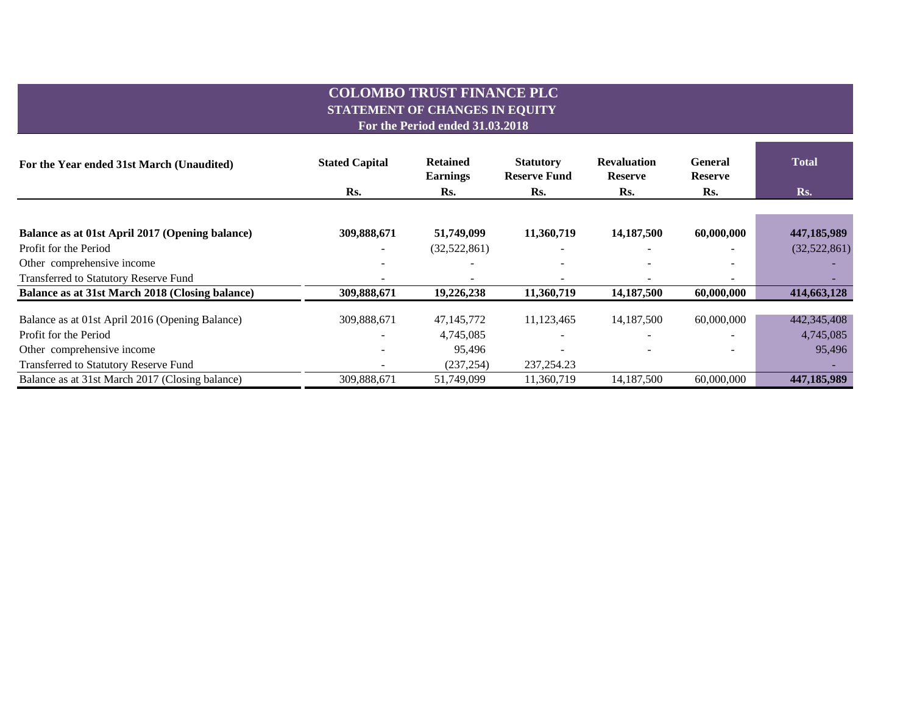## **COLOMBO TRUST FINANCE PLC STATEMENT OF CHANGES IN EQUITY**

**For the Period ended 31.03.2018**

| For the Year ended 31st March (Unaudited)       | <b>Stated Capital</b> | <b>Retained</b><br><b>Earnings</b> | <b>Statutory</b><br><b>Reserve Fund</b> | <b>Revaluation</b><br><b>Reserve</b> | General<br><b>Reserve</b> | <b>Total</b> |  |
|-------------------------------------------------|-----------------------|------------------------------------|-----------------------------------------|--------------------------------------|---------------------------|--------------|--|
|                                                 | Rs.                   | Rs.                                | Rs.                                     | Rs.                                  | Rs.                       | Rs.          |  |
|                                                 |                       |                                    |                                         |                                      |                           |              |  |
| Balance as at 01st April 2017 (Opening balance) | 309,888,671           | 51,749,099                         | 11,360,719                              | 14,187,500                           | 60,000,000                | 447,185,989  |  |
| Profit for the Period                           |                       | (32,522,861)                       |                                         |                                      |                           | (32,522,861) |  |
| Other comprehensive income                      |                       |                                    |                                         |                                      |                           |              |  |
| Transferred to Statutory Reserve Fund           |                       |                                    |                                         |                                      |                           |              |  |
| Balance as at 31st March 2018 (Closing balance) | 309,888,671           | 19,226,238                         | 11,360,719                              | 14,187,500                           | 60,000,000                | 414,663,128  |  |
| Balance as at 01st April 2016 (Opening Balance) | 309,888,671           | 47,145,772                         | 11,123,465                              | 14,187,500                           | 60,000,000                | 442,345,408  |  |
| Profit for the Period                           |                       | 4,745,085                          |                                         | $\overline{\phantom{a}}$             |                           | 4,745,085    |  |
| Other comprehensive income                      |                       | 95,496                             |                                         |                                      |                           | 95,496       |  |
| Transferred to Statutory Reserve Fund           |                       | (237, 254)                         | 237, 254. 23                            |                                      |                           |              |  |
| Balance as at 31st March 2017 (Closing balance) | 309,888,671           | 51.749.099                         | 11.360.719                              | 14,187,500                           | 60,000,000                | 447,185,989  |  |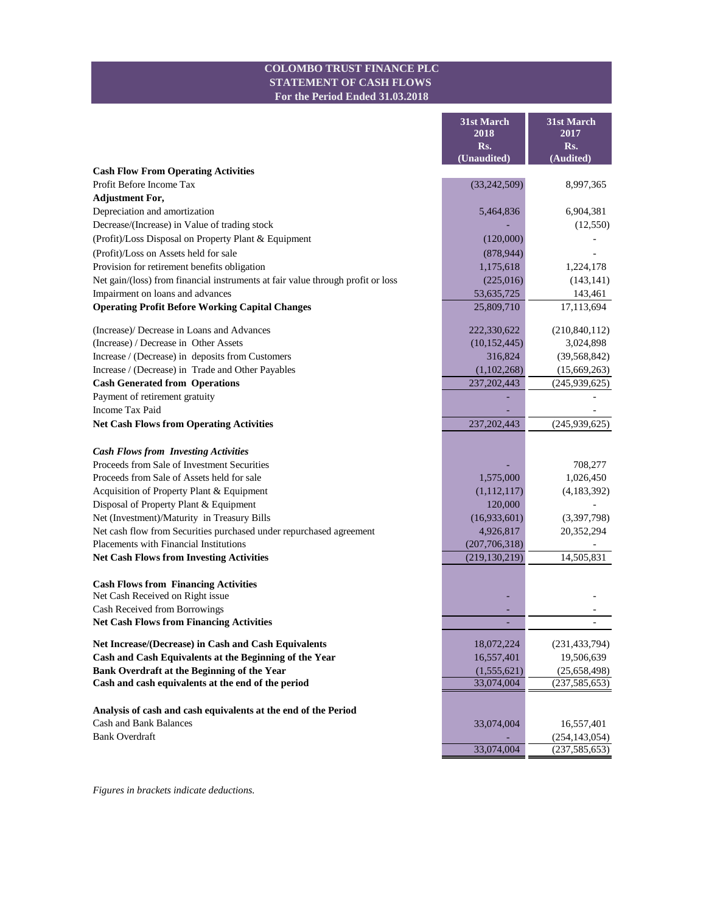#### **COLOMBO TRUST FINANCE PLC STATEMENT OF CASH FLOWS For the Period Ended 31.03.2018**

Ē

m.

|                                                                                 | 31st March<br>2018<br>Rs.<br>(Unaudited) | 31st March<br>2017<br>Rs.<br>(Audited) |
|---------------------------------------------------------------------------------|------------------------------------------|----------------------------------------|
| <b>Cash Flow From Operating Activities</b>                                      |                                          |                                        |
| Profit Before Income Tax                                                        | (33, 242, 509)                           | 8,997,365                              |
| <b>Adjustment For,</b>                                                          |                                          |                                        |
| Depreciation and amortization                                                   | 5,464,836                                | 6,904,381                              |
| Decrease/(Increase) in Value of trading stock                                   |                                          | (12,550)                               |
| (Profit)/Loss Disposal on Property Plant & Equipment                            | (120,000)                                |                                        |
| (Profit)/Loss on Assets held for sale                                           | (878, 944)                               |                                        |
| Provision for retirement benefits obligation                                    | 1,175,618                                | 1,224,178                              |
| Net gain/(loss) from financial instruments at fair value through profit or loss | (225,016)                                | (143, 141)                             |
| Impairment on loans and advances                                                | 53, 635, 725                             | 143,461                                |
| <b>Operating Profit Before Working Capital Changes</b>                          | 25,809,710                               | 17,113,694                             |
| (Increase)/ Decrease in Loans and Advances                                      | 222,330,622                              | (210, 840, 112)                        |
| (Increase) / Decrease in Other Assets                                           | (10, 152, 445)                           | 3,024,898                              |
| Increase / (Decrease) in deposits from Customers                                | 316,824                                  | (39, 568, 842)                         |
| Increase / (Decrease) in Trade and Other Payables                               | (1,102,268)                              | (15,669,263)                           |
| <b>Cash Generated from Operations</b>                                           | 237, 202, 443                            | (245,939,625)                          |
| Payment of retirement gratuity                                                  |                                          |                                        |
| <b>Income Tax Paid</b>                                                          |                                          |                                        |
| <b>Net Cash Flows from Operating Activities</b>                                 | 237, 202, 443                            | (245,939,625)                          |
| <b>Cash Flows from Investing Activities</b>                                     |                                          |                                        |
| Proceeds from Sale of Investment Securities                                     |                                          | 708,277                                |
| Proceeds from Sale of Assets held for sale                                      | 1,575,000                                | 1,026,450                              |
| Acquisition of Property Plant & Equipment                                       | (1,112,117)                              | (4,183,392)                            |
| Disposal of Property Plant & Equipment                                          | 120,000                                  |                                        |
| Net (Investment)/Maturity in Treasury Bills                                     | (16,933,601)                             | (3,397,798)                            |
| Net cash flow from Securities purchased under repurchased agreement             | 4,926,817                                | 20,352,294                             |
| Placements with Financial Institutions                                          | (207, 706, 318)                          |                                        |
| <b>Net Cash Flows from Investing Activities</b>                                 | (219, 130, 219)                          | 14,505,831                             |
| <b>Cash Flows from Financing Activities</b>                                     |                                          |                                        |
| Net Cash Received on Right issue                                                |                                          |                                        |
| Cash Received from Borrowings                                                   |                                          |                                        |
| <b>Net Cash Flows from Financing Activities</b>                                 |                                          |                                        |
| Net Increase/(Decrease) in Cash and Cash Equivalents                            | 18,072,224                               | (231, 433, 794)                        |
| Cash and Cash Equivalents at the Beginning of the Year                          | 16,557,401                               | 19,506,639                             |
| Bank Overdraft at the Beginning of the Year                                     | (1,555,621)                              | (25, 658, 498)                         |
| Cash and cash equivalents at the end of the period                              | 33,074,004                               | (237, 585, 653)                        |
|                                                                                 |                                          |                                        |
| Analysis of cash and cash equivalents at the end of the Period                  |                                          |                                        |
| <b>Cash and Bank Balances</b>                                                   | 33,074,004                               | 16,557,401                             |
| <b>Bank Overdraft</b>                                                           |                                          | (254, 143, 054)                        |
|                                                                                 | 33,074,004                               | (237, 585, 653)                        |

*Figures in brackets indicate deductions.*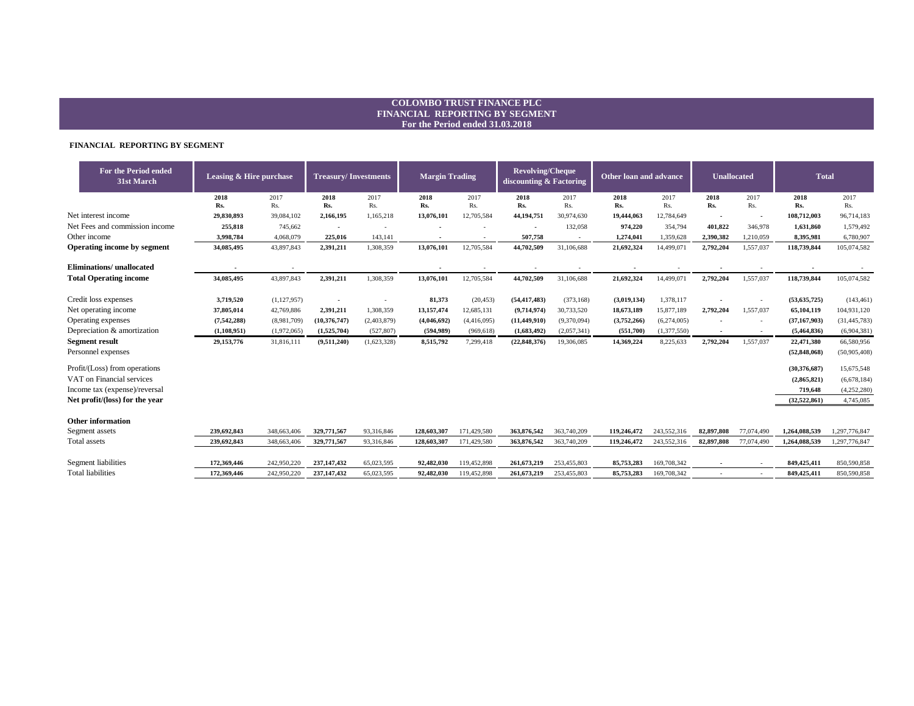#### **COLOMBO TRUST FINANCE PLC FINANCIAL REPORTING BY SEGMENT For the Period ended 31.03.2018**

#### **FINANCIAL REPORTING BY SEGMENT**

| For the Period ended<br>31st March | <b>Leasing &amp; Hire purchase</b> |             | <b>Treasury/Investments</b> |             | <b>Margin Trading</b> |                      | <b>Revolving/Cheque</b><br>discounting & Factoring |                      | Other loan and advance |             | <b>Unallocated</b> |                                     | <b>Total</b>   |                |
|------------------------------------|------------------------------------|-------------|-----------------------------|-------------|-----------------------|----------------------|----------------------------------------------------|----------------------|------------------------|-------------|--------------------|-------------------------------------|----------------|----------------|
|                                    | 2018<br>Rs.                        | 2017<br>Rs. | 2018<br>Rs.                 | 2017<br>Rs. | 2018<br>Rs.           | 2017<br>Rs.          | 2018<br>Rs.                                        | 2017<br>Rs.          | 2018<br>Rs.            | 2017<br>Rs. | 2018<br>Rs.        | 2017<br>Rs.                         | 2018<br>Rs.    | 2017<br>Rs.    |
| Net interest income                | 29,830,893                         | 39,084,102  | 2,166,195                   | 1,165,218   | 13,076,101            | 12,705,584           | 44,194,751                                         | 30,974,630           | 19,444,063             | 12,784,649  |                    |                                     | 108,712,003    | 96,714,183     |
| Net Fees and commission income     | 255,818                            | 745,662     | $\blacksquare$              | $\sim$      |                       |                      | $\blacksquare$                                     | 132,058              | 974,220                | 354,794     | $\sim$<br>401,822  | $\overline{\phantom{a}}$<br>346,978 | 1.631.860      | 1,579,492      |
| Other income                       | 3,998,784                          | 4,068,079   | 225,016                     | 143,141     | $\sim$                |                      | 507,758                                            |                      | 1,274,041              | 1,359,628   | 2,390,382          | 1,210,059                           | 8,395,981      | 6,780,907      |
| Operating income by segment        | 34,085,495                         | 43,897,843  | 2,391,211                   | 1,308,359   | 13,076,101            | $\sim$<br>12,705,584 | 44,702,509                                         | $\sim$<br>31,106,688 | 21,692,324             | 14,499,071  | 2,792,204          | 1,557,037                           | 118,739,844    | 105,074,582    |
| <b>Eliminations/</b> unallocated   |                                    |             |                             |             |                       |                      |                                                    |                      |                        |             |                    | $\overline{\phantom{a}}$            |                |                |
| <b>Total Operating income</b>      | 34,085,495                         | 43,897,843  | 2,391,211                   | 1,308,359   | 13,076,101            | 12,705,584           | 44,702,509                                         | 31,106,688           | 21,692,324             | 14,499,071  | 2,792,204          | 1,557,037                           | 118,739,844    | 105,074,582    |
| Credit loss expenses               | 3,719,520                          | (1,127,957) |                             |             | 81,373                | (20, 453)            | (54, 417, 483)                                     | (373, 168)           | (3,019,134)            | 1,378,117   |                    |                                     | (53, 635, 725) | (143, 461)     |
| Net operating income               | 37,805,014                         | 42,769,886  | 2,391,211                   | 1,308,359   | 13,157,474            | 12,685,131           | (9,714,974)                                        | 30,733,520           | 18,673,189             | 15,877,189  | 2,792,204          | 1,557,037                           | 65,104,119     | 104,931,120    |
| Operating expenses                 | (7,542,288)                        | (8,981,709) | (10, 376, 747)              | (2,403,879) | (4,046,692)           | (4,416,095)          | (11, 449, 910)                                     | (9,370,094)          | (3,752,266)            | (6,274,005) |                    |                                     | (37, 167, 903) | (31, 445, 783) |
| Depreciation & amortization        | (1,108,951)                        | (1,972,065) | (1,525,704)                 | (527, 807)  | (594, 989)            | (969, 618)           | (1,683,492)                                        | (2,057,341)          | (551,700)              | (1,377,550) | $\sim$             | $\sim$                              | (5,464,836)    | (6,904,381)    |
| <b>Segment result</b>              | 29,153,776                         | 31,816,111  | (9,511,240)                 | (1,623,328) | 8,515,792             | 7,299,418            | (22, 848, 376)                                     | 19,306,085           | 14,369,224             | 8,225,633   | 2,792,204          | 1,557,037                           | 22,471,380     | 66,580,956     |
| Personnel expenses                 |                                    |             |                             |             |                       |                      |                                                    |                      |                        |             |                    |                                     | (52, 848, 068) | (50,905,408)   |
| Profit/(Loss) from operations      |                                    |             |                             |             |                       |                      |                                                    |                      |                        |             |                    |                                     | (30.376.687)   | 15,675,548     |
| VAT on Financial services          |                                    |             |                             |             |                       |                      |                                                    |                      |                        |             |                    |                                     | (2,865,821)    | (6,678,184)    |
| Income tax (expense)/reversal      |                                    |             |                             |             |                       |                      |                                                    |                      |                        |             |                    |                                     | 719,648        | (4,252,280)    |
| Net profit/(loss) for the year     |                                    |             |                             |             |                       |                      |                                                    |                      |                        |             |                    |                                     | (32,522,861)   | 4,745,085      |
| <b>Other information</b>           |                                    |             |                             |             |                       |                      |                                                    |                      |                        |             |                    |                                     |                |                |
| Segment assets                     | 239,692,843                        | 348,663,406 | 329,771,567                 | 93,316,846  | 128,603,307           | 171,429,580          | 363,876,542                                        | 363,740,209          | 119,246,472            | 243,552,316 | 82,897,808         | 77,074,490                          | 1,264,088,539  | 1,297,776,847  |
| Total assets                       | 239,692,843                        | 348,663,406 | 329,771,567                 | 93,316,846  | 128,603,307           | 171,429,580          | 363,876,542                                        | 363,740,209          | 119,246,472            | 243,552,316 | 82,897,808         | 77,074,490                          | 1,264,088,539  | 1,297,776,847  |
| Segment liabilities                | 172.369.446                        | 242,950,220 | 237,147,432                 | 65,023,595  | 92,482,030            | 119,452,898          | 261.673.219                                        | 253,455,803          | 85,753,283             | 169,708,342 |                    | ٠                                   | 849,425,411    | 850,590,858    |
| <b>Total liabilities</b>           | 172.369.446                        | 242,950,220 | 237, 147, 432               | 65.023.595  | 92,482,030            | 119.452.898          | 261,673,219                                        | 253,455,803          | 85,753,283             | 169,708,342 |                    |                                     | 849,425,411    | 850,590,858    |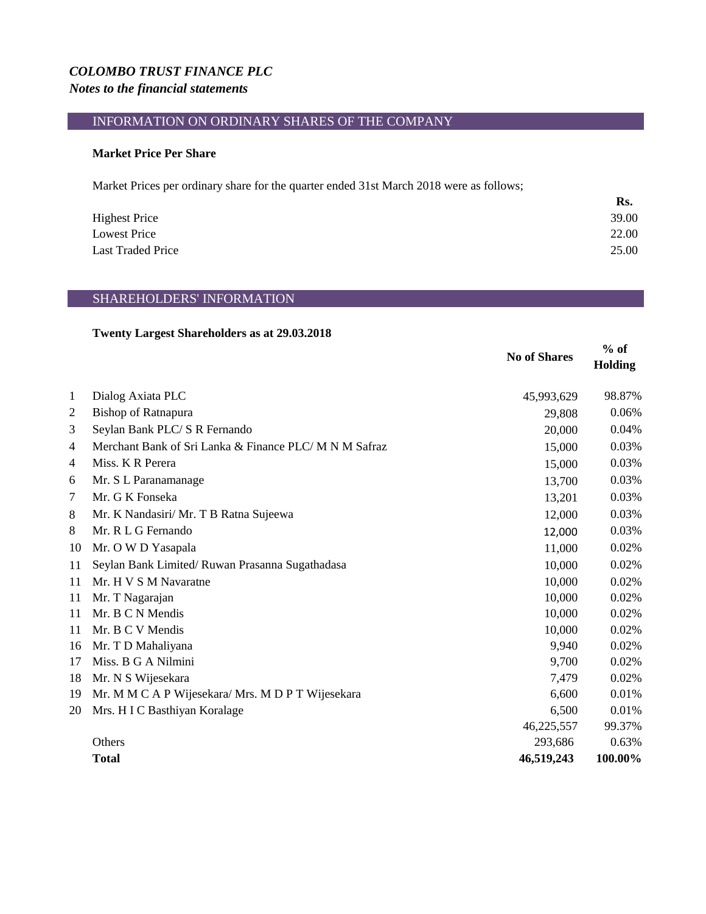## *COLOMBO TRUST FINANCE PLC Notes to the financial statements*

## INFORMATION ON ORDINARY SHARES OF THE COMPANY

### **Market Price Per Share**

Market Prices per ordinary share for the quarter ended 31st March 2018 were as follows;

|                          | Rs.   |
|--------------------------|-------|
| <b>Highest Price</b>     | 39.00 |
| <b>Lowest Price</b>      | 22.00 |
| <b>Last Traded Price</b> | 25.00 |

## SHAREHOLDERS' INFORMATION

#### **Twenty Largest Shareholders as at 29.03.2018**

|                |                                                        | <b>No of Shares</b> | $%$ of<br>Holding |
|----------------|--------------------------------------------------------|---------------------|-------------------|
| 1              | Dialog Axiata PLC                                      | 45,993,629          | 98.87%            |
| 2              | <b>Bishop of Ratnapura</b>                             | 29,808              | 0.06%             |
| 3              | Seylan Bank PLC/ S R Fernando                          | 20,000              | 0.04%             |
| $\overline{4}$ | Merchant Bank of Sri Lanka & Finance PLC/ M N M Safraz | 15,000              | 0.03%             |
| $\overline{4}$ | Miss. K R Perera                                       | 15,000              | 0.03%             |
| 6              | Mr. S L Paranamanage                                   | 13,700              | 0.03%             |
| 7              | Mr. G K Fonseka                                        | 13,201              | 0.03%             |
| 8              | Mr. K Nandasiri/ Mr. T B Ratna Sujeewa                 | 12,000              | 0.03%             |
| 8              | Mr. R L G Fernando                                     | 12,000              | 0.03%             |
| 10             | Mr. O W D Yasapala                                     | 11,000              | 0.02%             |
| 11             | Seylan Bank Limited/Ruwan Prasanna Sugathadasa         | 10,000              | 0.02%             |
| 11             | Mr. H V S M Navaratne                                  | 10,000              | 0.02%             |
| 11             | Mr. T Nagarajan                                        | 10,000              | 0.02%             |
| 11             | Mr. B C N Mendis                                       | 10,000              | 0.02%             |
| 11             | Mr. B C V Mendis                                       | 10,000              | 0.02%             |
| 16             | Mr. T D Mahaliyana                                     | 9,940               | 0.02%             |
| 17             | Miss. B G A Nilmini                                    | 9,700               | 0.02%             |
| 18             | Mr. N S Wijesekara                                     | 7,479               | 0.02%             |
| 19             | Mr. MMCAP Wijesekara/Mrs. MDPT Wijesekara              | 6,600               | 0.01%             |
| 20             | Mrs. H I C Basthiyan Koralage                          | 6,500               | 0.01%             |
|                |                                                        | 46,225,557          | 99.37%            |
|                | Others                                                 | 293,686             | 0.63%             |
|                | <b>Total</b>                                           | 46,519,243          | 100.00%           |